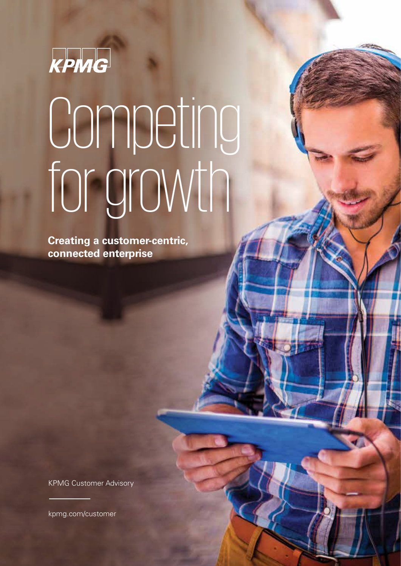

# Competing for growth

**Creating a customer-centric, connected enterprise** 

KPMG Customer Advisory

[kpmg.com/customer](http://www.kpmg.com/customer)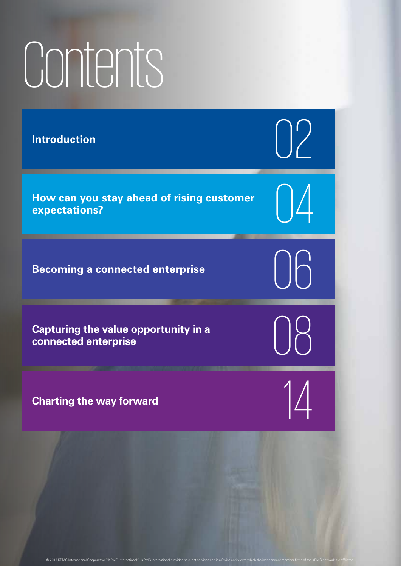# Contents

**Introduction**  $\bigcup_{n=1}^{\infty}$ 

**How can you stay ahead of rising customer expectations?**<br> **expectations?**<br> **expectations?** 

**Becoming a connected enterprise**  $\qquad \qquad \bigcap_{n=1}^{\infty}$ 

**Capturing the value opportunity in a Capturing the value opportunity in a**<br>connected enterprise<br>
and a set of the connected enterprise<br>
and a set of the connected enterprise

© 2017 KPMG International Cooperative ("KPMG International"). KPMG International provides no client services and is a Swiss entity with which the independent member frms of the KPMG network are affliated.

**Charting the way forward** 14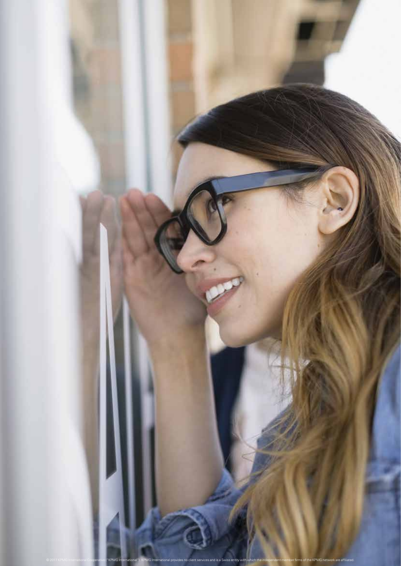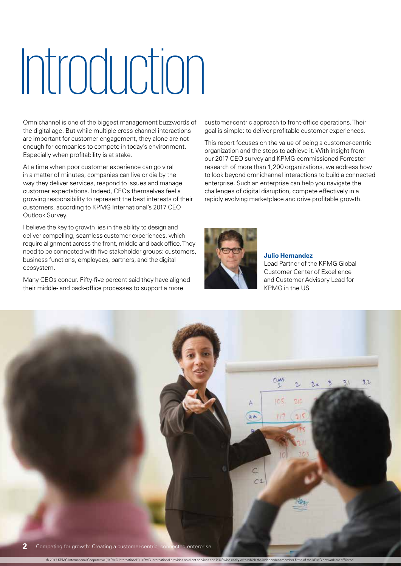# Introduction

Omnichannel is one of the biggest management buzzwords of the digital age. But while multiple cross-channel interactions are important for customer engagement, they alone are not enough for companies to compete in today's environment. Especially when profitability is at stake.

At a time when poor customer experience can go viral in a matter of minutes, companies can live or die by the way they deliver services, respond to issues and manage customer expectations. Indeed, CEOs themselves feel a growing responsibility to represent the best interests of their customers, according to KPMG International's 2017 CEO Outlook Survey.

I believe the key to growth lies in the ability to design and deliver compelling, seamless customer experiences, which require alignment across the front, middle and back office. They need to be connected with five stakeholder groups: customers, business functions, employees, partners, and the digital ecosystem.

Many CEOs concur. Fifty-fve percent said they have aligned their middle- and back-office processes to support a more

customer-centric approach to front-office operations. Their goal is simple: to deliver proftable customer experiences.

This report focuses on the value of being a customer-centric organization and the steps to achieve it. With insight from our 2017 CEO survey and KPMG-commissioned Forrester research of more than 1,200 organizations, we address how to look beyond omnichannel interactions to build a connected enterprise. Such an enterprise can help you navigate the challenges of digital disruption, compete effectively in a rapidly evolving marketplace and drive profitable growth.



**Julio Hernandez** 

Lead Partner of the KPMG Global Customer Center of Excellence and Customer Advisory Lead for KPMG in the US

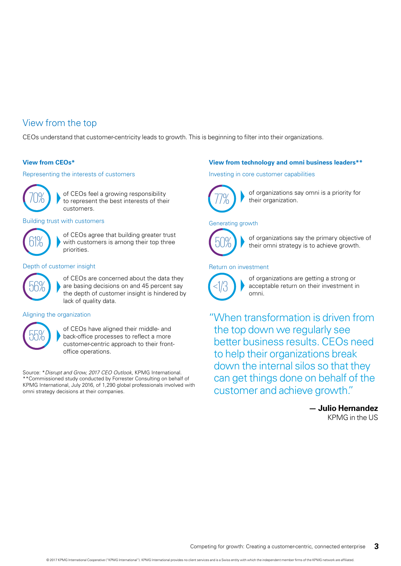### View from the top

CEOs understand that customer-centricity leads to growth. This is beginning to flter into their organizations.

### **View from CEOs\***

Representing the interests of customers



70% contract the best interests of their and the term of the set interests of their and the set interests of their and the set interests of their and the set interests of their and the set interests of their and the set in of CEOs feel a growing responsibility customers.

### Building trust with customers



 $61\%$  and  $61\%$  with customers is among their top three  $61\%$ of CEOs agree that building greater trust priorities.

### Depth of customer insight



 $56\%$  of CEOs are concerned about the data they<br> $\frac{1}{3}$  are basing decisions on and 45 percent say the depth of customer insight is hindered by lack of quality data.

### Aligning the organization



of CEOs have aligned their middle- and back-office processes to reflect a more customer-centric approach to their frontoffice operations.

Source: \**Disrupt and Grow, 2017 CEO Outlook*, KPMG International. \*\*Commissioned study conducted by Forrester Consulting on behalf of KPMG International, July 2016, of 1,290 global professionals involved with omni strategy decisions at their companies.

### **View from technology and omni business leaders\*\***

Investing in core customer capabilities



of organizations say omni is a priority for their organization.

### Generating growth



of organizations say the primary objective of their omni strategy is to achieve growth.

### Return on investment



of organizations are getting a strong or acceptable return on their investment in omni.

When transformation is driven from " the top down we regularly see better business results. CEOs need to help their organizations break down the internal silos so that they can get things done on behalf of the customer and achieve growth."

> **— Julio Hernandez**  KPMG in the US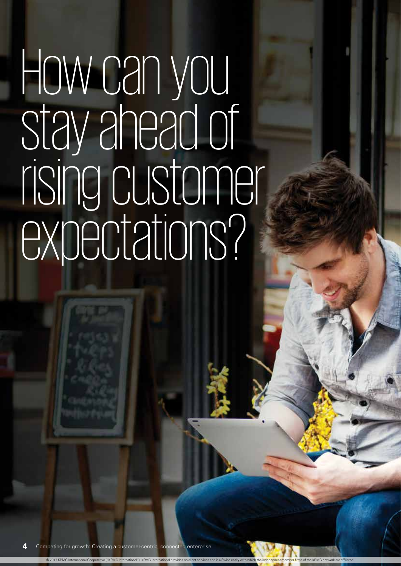### How can you stay ahead of rising customer expectations?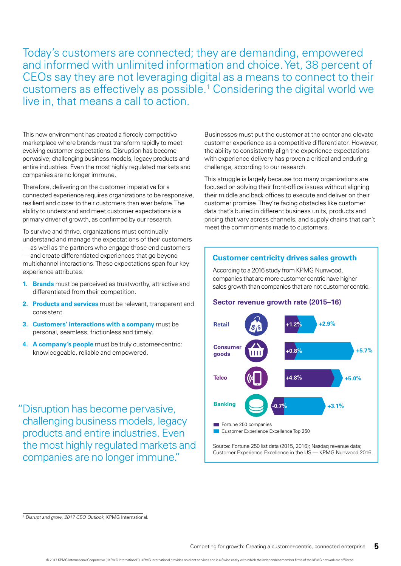Today's customers are connected; they are demanding, empowered and informed with unlimited information and choice. Yet, 38 percent of CEOs say they are not leveraging digital as a means to connect to their customers as effectively as possible.<sup>1</sup> Considering the digital world we live in, that means a call to action.

This new environment has created a fiercely competitive marketplace where brands must transform rapidly to meet evolving customer expectations. Disruption has become pervasive; challenging business models, legacy products and entire industries. Even the most highly regulated markets and companies are no longer immune.

Therefore, delivering on the customer imperative for a connected experience requires organizations to be responsive, resilient and closer to their customers than ever before. The ability to understand and meet customer expectations is a primary driver of growth, as confirmed by our research.

To survive and thrive, organizations must continually understand and manage the expectations of their customers — as well as the partners who engage those end customers — and create differentiated experiences that go beyond multichannel interactions. These expectations span four key experience attributes:

- **1. Brands** must be perceived as trustworthy, attractive and differentiated from their competition.
- **2. Products and services** must be relevant, transparent and consistent.
- **3. Customers' interactions with a company** must be personal, seamless, frictionless and timely.
- **4. A company's people** must be truly customer-centric: knowledgeable, reliable and empowered.

Disruption has become pervasive, " challenging business models, legacy products and entire industries. Even the most highly regulated markets and companies are no longer immune."

Businesses must put the customer at the center and elevate customer experience as a competitive differentiator. However, the ability to consistently align the experience expectations with experience delivery has proven a critical and enduring challenge, according to our research.

This struggle is largely because too many organizations are focused on solving their front-office issues without aligning their middle and back offices to execute and deliver on their customer promise. They're facing obstacles like customer data that's buried in different business units, products and pricing that vary across channels, and supply chains that can't meet the commitments made to customers.

### **Customer centricity drives sales growth**

According to a 2016 study from KPMG Nunwood, companies that are more customer-centric have higher sales growth than companies that are not customer-centric.

### **Sector revenue growth rate (2015–16)**



Source: Fortune 250 list data (2015, 2016); Nasdaq revenue data; Customer Experience Excellence in the US — KPMG Nunwood 2016.

<sup>1</sup>*Disrupt and grow, 2017 CEO Outlook*, KPMG International.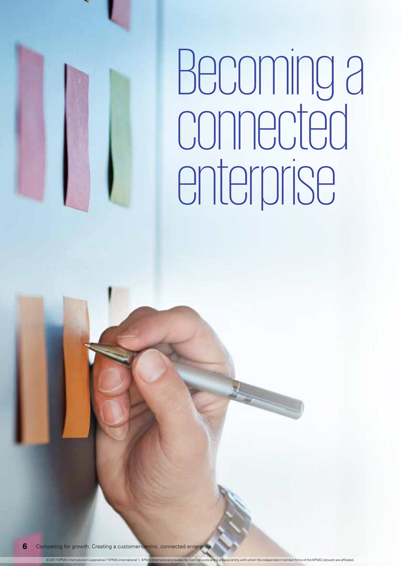Becominga connected enterprise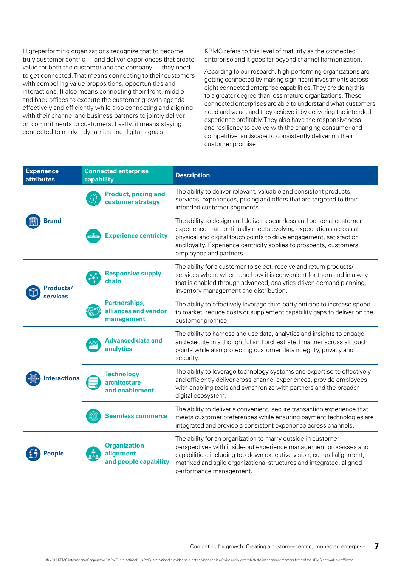High-performing organizations recognize that to become truly customer-centric — and deliver experiences that create value for both the customer and the company — they need to get connected. That means connecting to their customers with compelling value propositions, opportunities and interactions. It also means connecting their front, middle and back offices to execute the customer growth agenda effectively and efficiently while also connecting and aligning with their channel and business partners to jointly deliver on commitments to customers. Lastly, it means staying connected to market dynamics and digital signals.

KPMG refers to this level of maturity as the connected enterprise and it goes far beyond channel harmonization.

According to our research, high-performing organizations are getting connected by making significant investments across eight connected enterprise capabilities. They are doing this to a greater degree than less mature organizations. These connected enterprises are able to understand what customers need and value, and they achieve it by delivering the intended experience profitably. They also have the responsiveness and resiliency to evolve with the changing consumer and competitive landscape to consistently deliver on their customer promise.

| <b>Experience</b><br><b>attributes</b> | <b>Connected enterprise</b><br>capability                 | <b>Description</b>                                                                                                                                                                                                                                                                                                |  |
|----------------------------------------|-----------------------------------------------------------|-------------------------------------------------------------------------------------------------------------------------------------------------------------------------------------------------------------------------------------------------------------------------------------------------------------------|--|
| <b>Brand</b>                           | <b>Product, pricing and</b><br>customer strategy          | The ability to deliver relevant, valuable and consistent products,<br>services, experiences, pricing and offers that are targeted to their<br>intended customer segments.                                                                                                                                         |  |
|                                        | <b>Experience centricity</b>                              | The ability to design and deliver a seamless and personal customer<br>experience that continually meets evolving expectations across all<br>physical and digital touch points to drive engagement, satisfaction<br>and loyalty. Experience centricity applies to prospects, customers,<br>employees and partners. |  |
| Products/<br>services                  | <b>Responsive supply</b><br>chain                         | The ability for a customer to select, receive and return products/<br>services when, where and how it is convenient for them and in a way<br>that is enabled through advanced, analytics-driven demand planning,<br>inventory management and distribution.                                                        |  |
|                                        | Partnerships,<br>alliances and vendor<br>management       | The ability to effectively leverage third-party entities to increase speed<br>to market, reduce costs or supplement capability gaps to deliver on the<br>customer promise.                                                                                                                                        |  |
|                                        | <b>Advanced data and</b><br>analytics                     | The ability to harness and use data, analytics and insights to engage<br>and execute in a thoughtful and orchestrated manner across all touch<br>points while also protecting customer data integrity, privacy and<br>security.                                                                                   |  |
| nteractions                            | <b>Technology</b><br>architecture<br>and enablement       | The ability to leverage technology systems and expertise to effectively<br>and efficiently deliver cross-channel experiences, provide employees<br>with enabling tools and synchronize with partners and the broader<br>digital ecosystem.                                                                        |  |
|                                        | <b>Seamless commerce</b>                                  | The ability to deliver a convenient, secure transaction experience that<br>meets customer preferences while ensuring payment technologies are<br>integrated and provide a consistent experience across channels.                                                                                                  |  |
| eople                                  | <b>Organization</b><br>alignment<br>and people capability | The ability for an organization to marry outside-in customer<br>perspectives with inside-out experience management processes and<br>capabilities, including top-down executive vision, cultural alignment,<br>matrixed and agile organizational structures and integrated, aligned<br>performance management.     |  |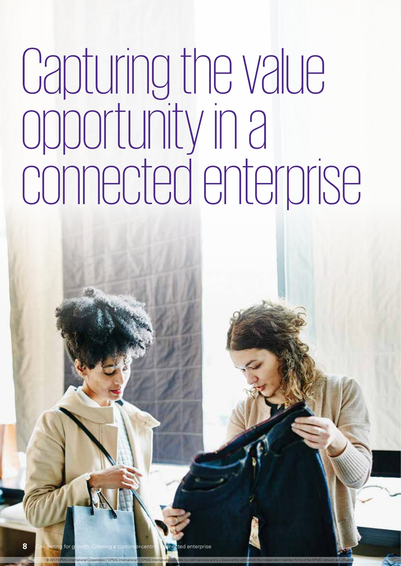### Capturing thevalue opportunity in a connected enterprise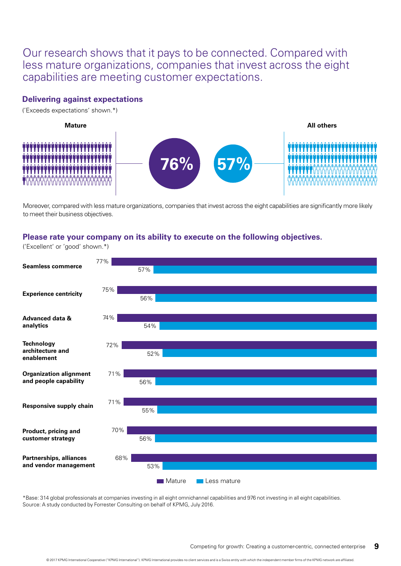### Our research shows that it pays to be connected. Compared with less mature organizations, companies that invest across the eight capabilities are meeting customer expectations.

### **Delivering against expectations**

('Exceeds expectations' shown.\*)



Moreover, compared with less mature organizations, companies that invest across the eight capabilities are significantly more likely to meet their business objectives.

### **Please rate your company on its ability to execute on the following objectives.**



('Excellent' or 'good' shown.\*)

\*Base: 314 global professionals at companies investing in all eight omnichannel capabilities and 976 not investing in all eight capabilities. Source: A study conducted by Forrester Consulting on behalf of KPMG, July 2016.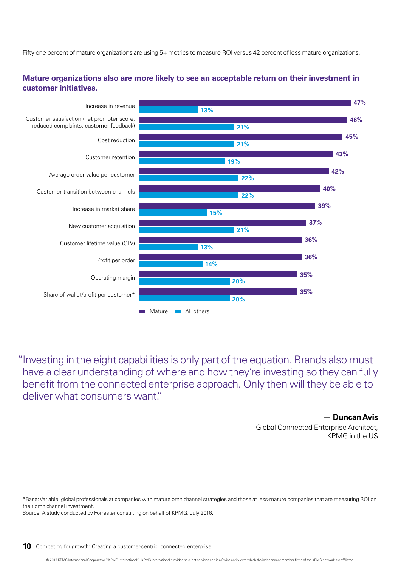Fifty-one percent of mature organizations are using 5+ metrics to measure ROI versus 42 percent of less mature organizations.



**Mature organizations also are more likely to see an acceptable return on their investment in customer initiatives.** 

"Investing in the eight capabilities is only part of the equation. Brands also must have a clear understanding of where and how they're investing so they can fully benefit from the connected enterprise approach. Only then will they be able to deliver what consumers want'

### **— Duncan Avis**

Global Connected Enterprise Architect, KPMG in the US

\*Base: Variable; global professionals at companies with mature omnichannel strategies and those at less-mature companies that are measuring ROI on their omnichannel investment. Source: A study conducted by Forrester consulting on behalf of KPMG, July 2016.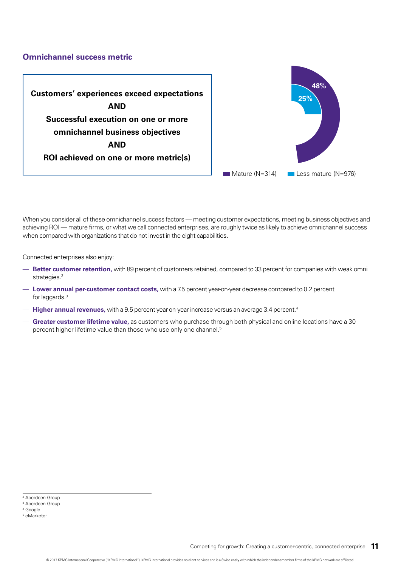### **Omnichannel success metric**

**Customers' experiences exceed expectations AND Successful execution on one or more omnichannel business objectives AND ROI achieved on one or more metric(s)** 



When you consider all of these omnichannel success factors — meeting customer expectations, meeting business objectives and achieving ROI — mature frms, or what we call connected enterprises, are roughly twice as likely to achieve omnichannel success when compared with organizations that do not invest in the eight capabilities.

Connected enterprises also enjoy:

- **Better customer retention,** with 89 percent of customers retained, compared to 33 percent for companies with weak omni strategies.<sup>2</sup>
- **Lower annual per-customer contact costs,** with a 7.5 percent year-on-year decrease compared to 0.2 percent for laggards.3
- **Higher annual revenues,** with a 9.5 percent year-on-year increase versus an average 3.4 percent.4 —
- **Greater customer lifetime value,** as customers who purchase through both physical and online locations have a 30 percent higher lifetime value than those who use only one channel.<sup>5</sup>

<sup>2</sup> Aberdeen Group

<sup>&</sup>lt;sup>3</sup> Aberdeen Group

<sup>4</sup> Google

<sup>5</sup> eMarketer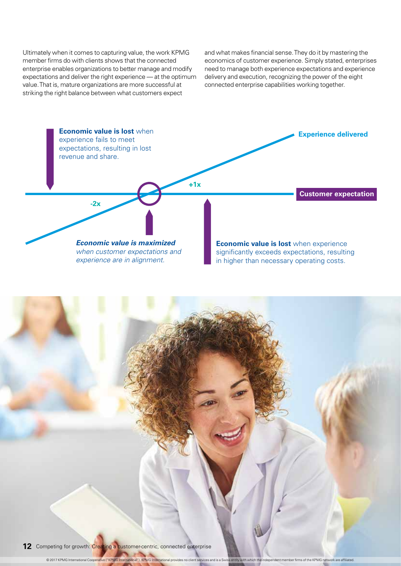Ultimately when it comes to capturing value, the work KPMG member firms do with clients shows that the connected enterprise enables organizations to better manage and modify expectations and deliver the right experience — at the optimum value. That is, mature organizations are more successful at striking the right balance between what customers expect

and what makes financial sense. They do it by mastering the economics of customer experience. Simply stated, enterprises need to manage both experience expectations and experience delivery and execution, recognizing the power of the eight connected enterprise capabilities working together.



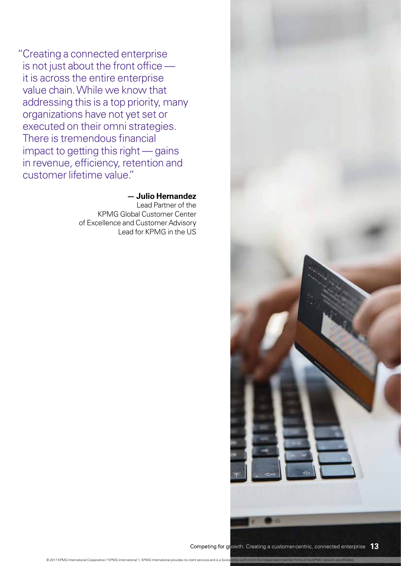Creating a connected enterprise " is not just about the front office  $$ it is across the entire enterprise value chain. While we know that addressing this is a top priority, many organizations have not yet set or executed on their omni strategies. There is tremendous financial impact to getting this right — gains in revenue, efficiency, retention and customer lifetime value."

### **— Julio Hernandez**

Lead Partner of the KPMG Global Customer Center of Excellence and Customer Advisory Lead for KPMG in the US

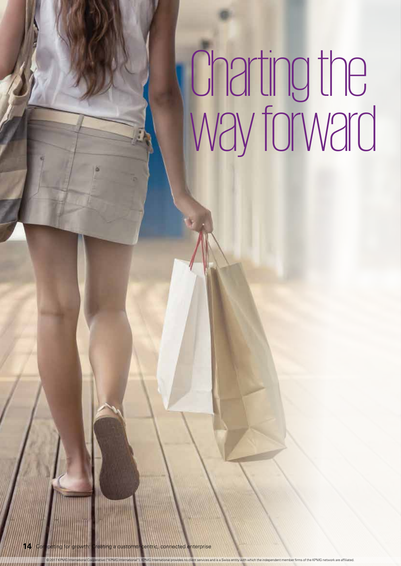# Chartingthe way forward

customer-centric, connected enterprise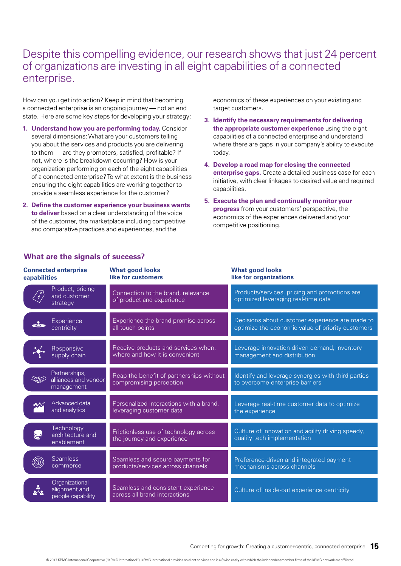### Despite this compelling evidence, our research shows that just 24 percent of organizations are investing in all eight capabilities of a connected enterprise.

How can you get into action? Keep in mind that becoming a connected enterprise is an ongoing journey — not an end state. Here are some key steps for developing your strategy:

- **1. Understand how you are performing today.** Consider several dimensions: What are your customers telling you about the services and products you are delivering to them - are they promoters, satisfied, profitable? If not, where is the breakdown occurring? How is your organization performing on each of the eight capabilities of a connected enterprise? To what extent is the business ensuring the eight capabilities are working together to provide a seamless experience for the customer?
- **2. Defne the customer experience your business wants to deliver** based on a clear understanding of the voice of the customer, the marketplace including competitive and comparative practices and experiences, and the

economics of these experiences on your existing and target customers.

- **3. Identify the necessary requirements for delivering the appropriate customer experience** using the eight capabilities of a connected enterprise and understand where there are gaps in your company's ability to execute today.
- **4. Develop a road map for closing the connected enterprise gaps.** Create a detailed business case for each initiative, with clear linkages to desired value and required capabilities.
- **5. Execute the plan and continually monitor your progress** from your customers' perspective, the economics of the experiences delivered and your competitive positioning.

| <b>Connected enterprise</b> |                                                      | <b>What good looks</b>                                              | <b>What good looks</b>                                                                |
|-----------------------------|------------------------------------------------------|---------------------------------------------------------------------|---------------------------------------------------------------------------------------|
| capabilities                |                                                      | like for customers                                                  | like for organizations                                                                |
| $s^{\circ}$                 | Product, pricing<br>and customer<br>strategy         | Connection to the brand, relevance<br>of product and experience     | Products/services, pricing and promotions are<br>optimized leveraging real-time data  |
|                             | Experience                                           | Experience the brand promise across                                 | Decisions about customer experience are made to                                       |
|                             | centricity                                           | all touch points                                                    | optimize the economic value of priority customers                                     |
|                             | Responsive                                           | Receive products and services when,                                 | Leverage innovation-driven demand, inventory                                          |
|                             | supply chain                                         | where and how it is convenient                                      | management and distribution                                                           |
| $\sqrt{2\pi}$               | Partnerships,<br>alliances and vendor<br>management  | Reap the benefit of partnerships without<br>compromising perception | Identify and leverage synergies with third parties<br>to overcome enterprise barriers |
|                             | Advanced data                                        | Personalized interactions with a brand,                             | Leverage real-time customer data to optimize                                          |
|                             | and analytics                                        | leveraging customer data                                            | the experience                                                                        |
|                             | Technology<br>architecture and<br>enablement         | Frictionless use of technology across<br>the journey and experience | Culture of innovation and agility driving speedy,<br>quality tech implementation      |
|                             | <b>Seamless</b>                                      | Seamless and secure payments for                                    | Preference-driven and integrated payment                                              |
|                             | commerce                                             | products/services across channels                                   | mechanisms across channels                                                            |
|                             | Organizational<br>alignment and<br>people capability | Seamless and consistent experience<br>across all brand interactions | Culture of inside-out experience centricity                                           |

### **What are the signals of success?**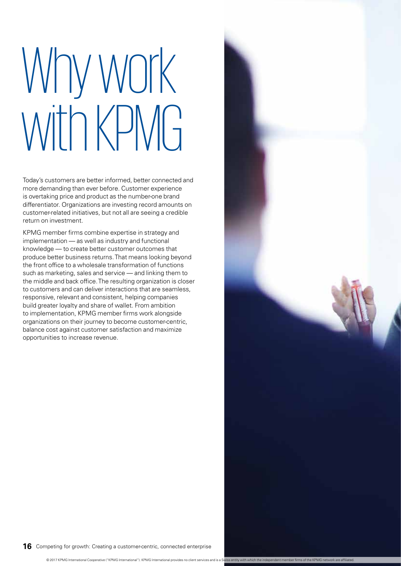## Why work with KPMG

Today's customers are better informed, better connected and more demanding than ever before. Customer experience is overtaking price and product as the number-one brand differentiator. Organizations are investing record amounts on customer-related initiatives, but not all are seeing a credible return on investment.

KPMG member firms combine expertise in strategy and implementation — as well as industry and functional knowledge — to create better customer outcomes that produce better business returns. That means looking beyond the front office to a wholesale transformation of functions such as marketing, sales and service — and linking them to the middle and back office. The resulting organization is closer to customers and can deliver interactions that are seamless, responsive, relevant and consistent, helping companies build greater loyalty and share of wallet. From ambition to implementation, KPMG member firms work alongside organizations on their journey to become customer-centric, balance cost against customer satisfaction and maximize opportunities to increase revenue.

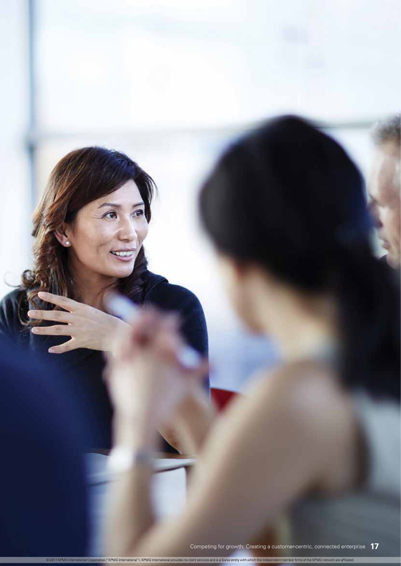